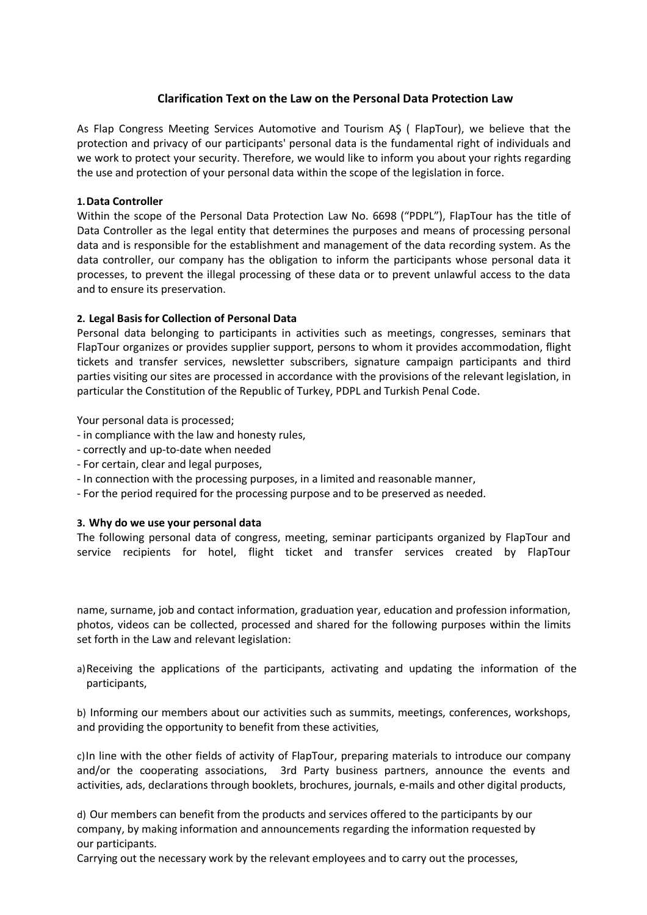# **Clarification Text on the Law on the Personal Data Protection Law**

As Flap Congress Meeting Services Automotive and Tourism AŞ ( FlapTour), we believe that the protection and privacy of our participants' personal data is the fundamental right of individuals and we work to protect your security. Therefore, we would like to inform you about your rights regarding the use and protection of your personal data within the scope of the legislation in force.

## **1.Data Controller**

Within the scope of the Personal Data Protection Law No. 6698 ("PDPL"), FlapTour has the title of Data Controller as the legal entity that determines the purposes and means of processing personal data and is responsible for the establishment and management of the data recording system. As the data controller, our company has the obligation to inform the participants whose personal data it processes, to prevent the illegal processing of these data or to prevent unlawful access to the data and to ensure its preservation.

### **2. Legal Basis for Collection of Personal Data**

Personal data belonging to participants in activities such as meetings, congresses, seminars that FlapTour organizes or provides supplier support, persons to whom it provides accommodation, flight tickets and transfer services, newsletter subscribers, signature campaign participants and third parties visiting our sites are processed in accordance with the provisions of the relevant legislation, in particular the Constitution of the Republic of Turkey, PDPL and Turkish Penal Code.

Your personal data is processed;

- in compliance with the law and honesty rules,
- correctly and up-to-date when needed
- For certain, clear and legal purposes,
- In connection with the processing purposes, in a limited and reasonable manner,
- For the period required for the processing purpose and to be preserved as needed.

#### **3. Why do we use your personal data**

The following personal data of congress, meeting, seminar participants organized by FlapTour and service recipients for hotel, flight ticket and transfer services created by FlapTour

name, surname, job and contact information, graduation year, education and profession information, photos, videos can be collected, processed and shared for the following purposes within the limits set forth in the Law and relevant legislation:

a)Receiving the applications of the participants, activating and updating the information of the participants,

b) Informing our members about our activities such as summits, meetings, conferences, workshops, and providing the opportunity to benefit from these activities,

c)In line with the other fields of activity of FlapTour, preparing materials to introduce our company and/or the cooperating associations, 3rd Party business partners, announce the events and activities, ads, declarations through booklets, brochures, journals, e-mails and other digital products,

d) Our members can benefit from the products and services offered to the participants by our company, by making information and announcements regarding the information requested by our participants.

Carrying out the necessary work by the relevant employees and to carry out the processes,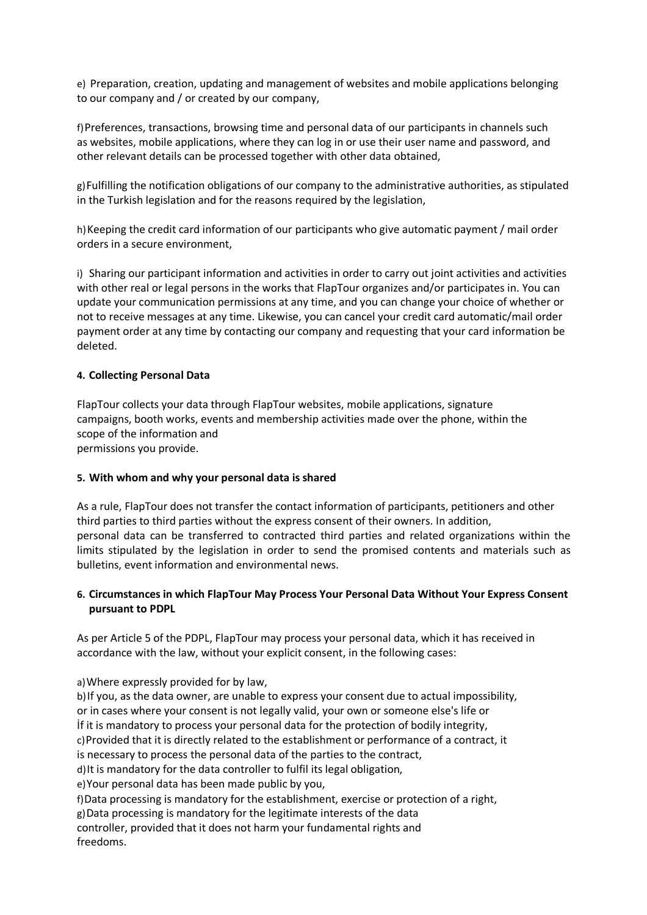e) Preparation, creation, updating and management of websites and mobile applications belonging to our company and / or created by our company,

f)Preferences, transactions, browsing time and personal data of our participants in channels such as websites, mobile applications, where they can log in or use their user name and password, and other relevant details can be processed together with other data obtained,

g)Fulfilling the notification obligations of our company to the administrative authorities, as stipulated in the Turkish legislation and for the reasons required by the legislation,

h) Keeping the credit card information of our participants who give automatic payment / mail order orders in a secure environment,

i) Sharing our participant information and activities in order to carry out joint activities and activities with other real or legal persons in the works that FlapTour organizes and/or participates in. You can update your communication permissions at any time, and you can change your choice of whether or not to receive messages at any time. Likewise, you can cancel your credit card automatic/mail order payment order at any time by contacting our company and requesting that your card information be deleted.

### **4. Collecting Personal Data**

FlapTour collects your data through FlapTour websites, mobile applications, signature campaigns, booth works, events and membership activities made over the phone, within the scope of the information and

permissions you provide.

#### **5. With whom and why your personal data is shared**

As a rule, FlapTour does not transfer the contact information of participants, petitioners and other third parties to third parties without the express consent of their owners. In addition, personal data can be transferred to contracted third parties and related organizations within the limits stipulated by the legislation in order to send the promised contents and materials such as bulletins, event information and environmental news.

# **6. Circumstances in which FlapTour May Process Your Personal Data Without Your Express Consent pursuant to PDPL**

As per Article 5 of the PDPL, FlapTour may process your personal data, which it has received in accordance with the law, without your explicit consent, in the following cases:

a)Where expressly provided for by law,

b) If you, as the data owner, are unable to express your consent due to actual impossibility, or in cases where your consent is not legally valid, your own or someone else's life or İf it is mandatory to process your personal data for the protection of bodily integrity, c)Provided that it is directly related to the establishment or performance of a contract, it is necessary to process the personal data of the parties to the contract, d)It is mandatory for the data controller to fulfil its legal obligation, e)Your personal data has been made public by you, f)Data processing is mandatory for the establishment, exercise or protection of a right, g)Data processing is mandatory for the legitimate interests of the data controller, provided that it does not harm your fundamental rights and freedoms.